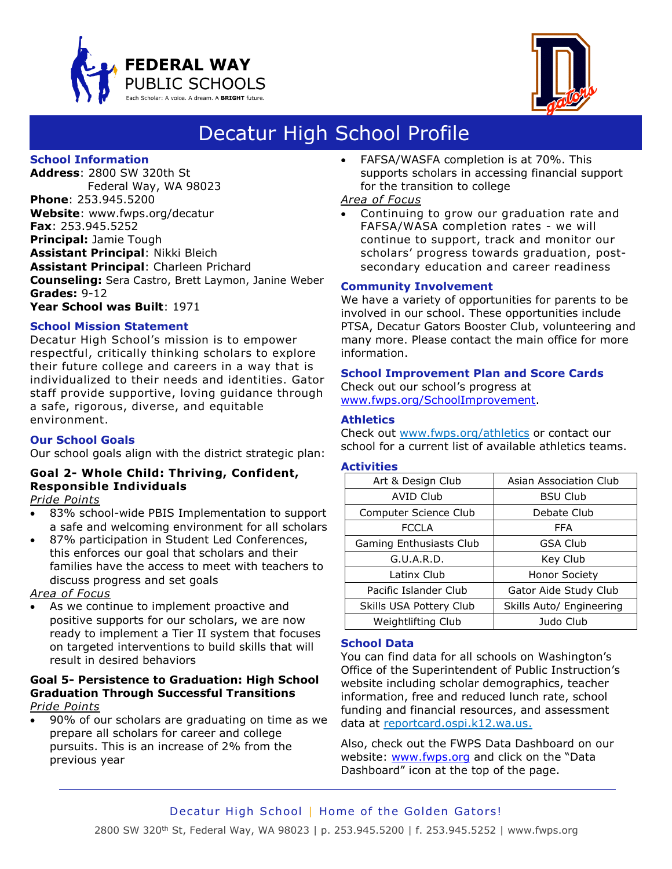



# Decatur High School Profile

## **School Information**

**Address**: 2800 SW 320th St Federal Way, WA 98023 **Phone**: 253.945.5200 **Website**: www.fwps.org/decatur **Fax**: 253.945.5252 **Principal:** Jamie Tough **Assistant Principal**: Nikki Bleich **Assistant Principal**: Charleen Prichard **Counseling:** Sera Castro, Brett Laymon, Janine Weber **Grades:** 9-12 **Year School was Built**: 1971

## **School Mission Statement**

Decatur High School's mission is to empower respectful, critically thinking scholars to explore their future college and careers in a way that is individualized to their needs and identities. Gator staff provide supportive, loving guidance through a safe, rigorous, diverse, and equitable environment.

## **Our School Goals**

Our school goals align with the district strategic plan:

## **Goal 2- Whole Child: Thriving, Confident, Responsible Individuals**

*Pride Points*

- 83% school-wide PBIS Implementation to support a safe and welcoming environment for all scholars
- 87% participation in Student Led Conferences, this enforces our goal that scholars and their families have the access to meet with teachers to discuss progress and set goals

*Area of Focus*

• As we continue to implement proactive and positive supports for our scholars, we are now ready to implement a Tier II system that focuses on targeted interventions to build skills that will result in desired behaviors

#### **Goal 5- Persistence to Graduation: High School Graduation Through Successful Transitions** *Pride Points*

• 90% of our scholars are graduating on time as we prepare all scholars for career and college pursuits. This is an increase of 2% from the previous year

• FAFSA/WASFA completion is at 70%. This supports scholars in accessing financial support for the transition to college

## *Area of Focus*

• Continuing to grow our graduation rate and FAFSA/WASA completion rates - we will continue to support, track and monitor our scholars' progress towards graduation, postsecondary education and career readiness

## **Community Involvement**

We have a variety of opportunities for parents to be involved in our school. These opportunities include PTSA, Decatur Gators Booster Club, volunteering and many more. Please contact the main office for more information.

#### **School Improvement Plan and Score Cards**

Check out our school's progress at [www.fwps.org/SchoolImprovement.](http://www.fwps.org/SchoolImprovement)

## **Athletics**

Check out [www.fwps.org/athletics](http://www.fwps.org/athletics) or contact our school for a current list of available athletics teams.

## **Activities**

| Art & Design Club       | Asian Association Club   |
|-------------------------|--------------------------|
| <b>AVID Club</b>        | <b>BSU Club</b>          |
| Computer Science Club   | Debate Club              |
| <b>FCCLA</b>            | <b>FFA</b>               |
| Gaming Enthusiasts Club | <b>GSA Club</b>          |
| G.U.A.R.D.              | Key Club                 |
| Latinx Club             | <b>Honor Society</b>     |
| Pacific Islander Club   | Gator Aide Study Club    |
| Skills USA Pottery Club | Skills Auto/ Engineering |
| Weightlifting Club      | Judo Club                |

## **School Data**

You can find data for all schools on Washington's Office of the Superintendent of Public Instruction's website including scholar demographics, teacher information, free and reduced lunch rate, school funding and financial resources, and assessment data at [reportcard.ospi.k12.wa.us.](file://///esc-server/Storage/Dept/Communications/Operations/School%20Profiles/2016-2017%20School%20Profiles/reportcard.ospi.k12.wa.us)

Also, check out the FWPS Data Dashboard on our website: [www.fwps.org](http://www.fwps.org/) and click on the "Data Dashboard" icon at the top of the page.